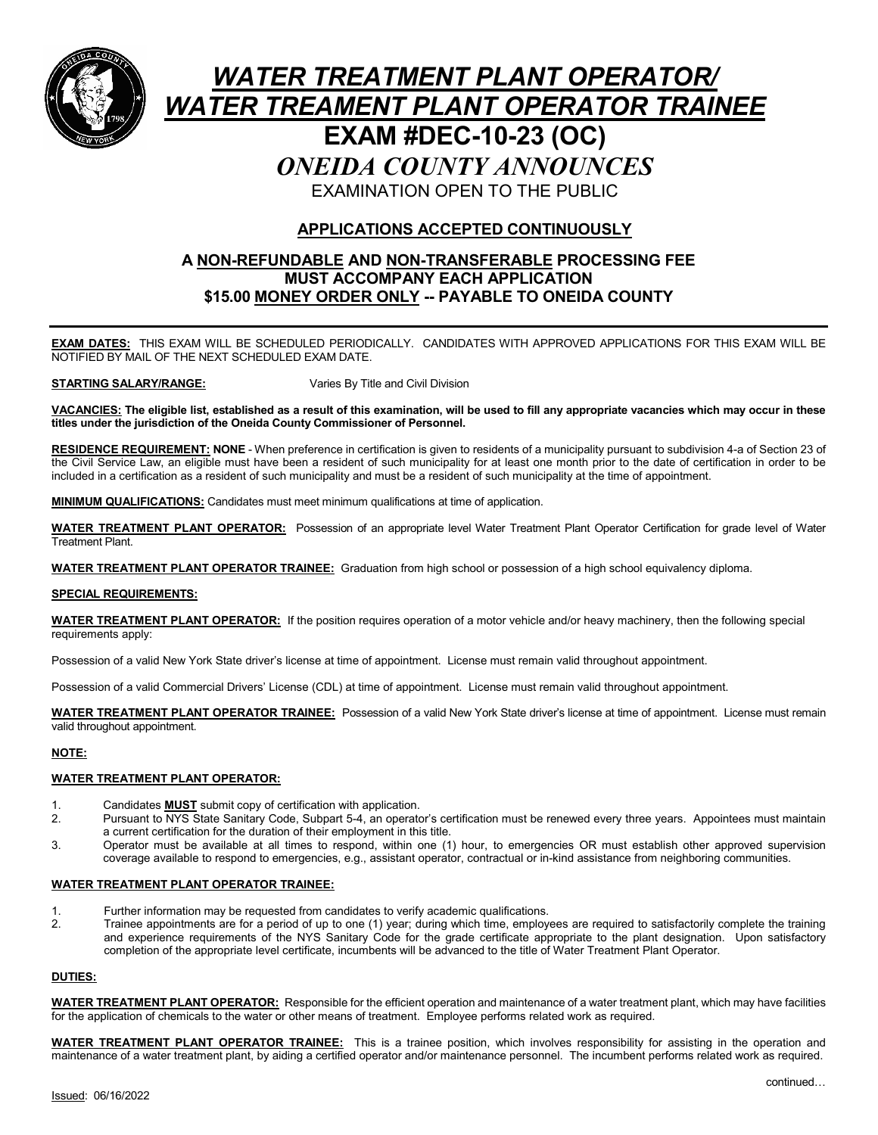

# *WATER TREATMENT PLANT OPERATOR/ WATER TREAMENT PLANT OPERATOR TRAINEE* **EXAM #DEC-10-23 (OC)** *ONEIDA COUNTY ANNOUNCES* EXAMINATION OPEN TO THE PUBLIC

## **APPLICATIONS ACCEPTED CONTINUOUSLY**

#### **A NON-REFUNDABLE AND NON-TRANSFERABLE PROCESSING FEE MUST ACCOMPANY EACH APPLICATION \$15.00 MONEY ORDER ONLY -- PAYABLE TO ONEIDA COUNTY**

**EXAM DATES:** THIS EXAM WILL BE SCHEDULED PERIODICALLY. CANDIDATES WITH APPROVED APPLICATIONS FOR THIS EXAM WILL BE NOTIFIED BY MAIL OF THE NEXT SCHEDULED EXAM DATE.

**STARTING SALARY/RANGE:** Varies By Title and Civil Division

**VACANCIES: The eligible list, established as a result of this examination, will be used to fill any appropriate vacancies which may occur in these titles under the jurisdiction of the Oneida County Commissioner of Personnel.**

**RESIDENCE REQUIREMENT: NONE** - When preference in certification is given to residents of a municipality pursuant to subdivision 4-a of Section 23 of the Civil Service Law, an eligible must have been a resident of such municipality for at least one month prior to the date of certification in order to be included in a certification as a resident of such municipality and must be a resident of such municipality at the time of appointment.

**MINIMUM QUALIFICATIONS:** Candidates must meet minimum qualifications at time of application.

**WATER TREATMENT PLANT OPERATOR:** Possession of an appropriate level Water Treatment Plant Operator Certification for grade level of Water Treatment Plant.

**WATER TREATMENT PLANT OPERATOR TRAINEE:** Graduation from high school or possession of a high school equivalency diploma.

#### **SPECIAL REQUIREMENTS:**

**WATER TREATMENT PLANT OPERATOR:** If the position requires operation of a motor vehicle and/or heavy machinery, then the following special requirements apply:

Possession of a valid New York State driver's license at time of appointment. License must remain valid throughout appointment.

Possession of a valid Commercial Drivers' License (CDL) at time of appointment. License must remain valid throughout appointment.

**WATER TREATMENT PLANT OPERATOR TRAINEE:** Possession of a valid New York State driver's license at time of appointment. License must remain valid throughout appointment.

#### **NOTE:**

#### **WATER TREATMENT PLANT OPERATOR:**

- 1. Candidates **MUST** submit copy of certification with application.
- Pursuant to NYS State Sanitary Code, Subpart 5-4, an operator's certification must be renewed every three years. Appointees must maintain a current certification for the duration of their employment in this title.
- 3. Operator must be available at all times to respond, within one (1) hour, to emergencies OR must establish other approved supervision coverage available to respond to emergencies, e.g., assistant operator, contractual or in-kind assistance from neighboring communities.

#### **WATER TREATMENT PLANT OPERATOR TRAINEE:**

- 1. Further information may be requested from candidates to verify academic qualifications.
- 2. Trainee appointments are for a period of up to one (1) year; during which time, employees are required to satisfactorily complete the training and experience requirements of the NYS Sanitary Code for the grade certificate appropriate to the plant designation. Upon satisfactory completion of the appropriate level certificate, incumbents will be advanced to the title of Water Treatment Plant Operator.

#### **DUTIES:**

**WATER TREATMENT PLANT OPERATOR:** Responsible for the efficient operation and maintenance of a water treatment plant, which may have facilities for the application of chemicals to the water or other means of treatment. Employee performs related work as required.

**WATER TREATMENT PLANT OPERATOR TRAINEE:** This is a trainee position, which involves responsibility for assisting in the operation and maintenance of a water treatment plant, by aiding a certified operator and/or maintenance personnel. The incumbent performs related work as required.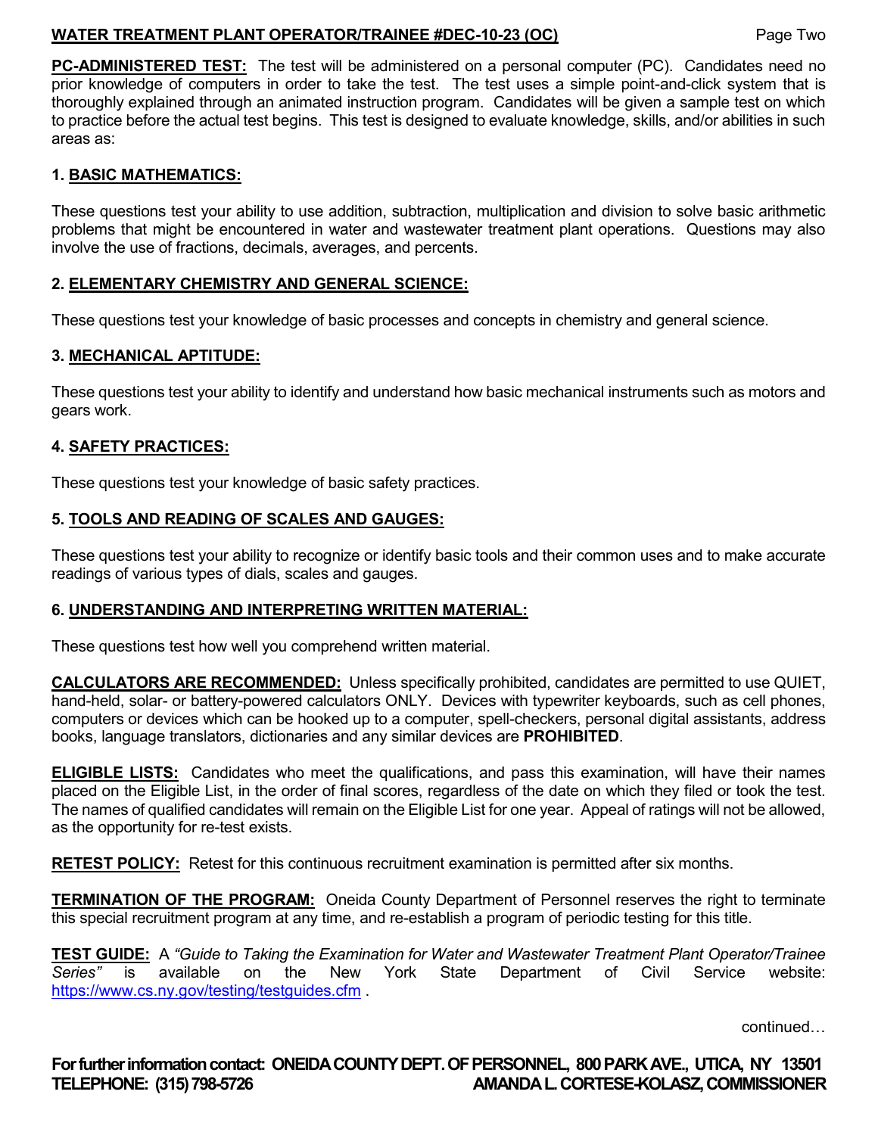## **WATER TREATMENT PLANT OPERATOR/TRAINEE #DEC-10-23 (OC)** Page Two

**PC-ADMINISTERED TEST:** The test will be administered on a personal computer (PC). Candidates need no prior knowledge of computers in order to take the test. The test uses a simple point-and-click system that is thoroughly explained through an animated instruction program. Candidates will be given a sample test on which to practice before the actual test begins. This test is designed to evaluate knowledge, skills, and/or abilities in such areas as:

## **1. BASIC MATHEMATICS:**

These questions test your ability to use addition, subtraction, multiplication and division to solve basic arithmetic problems that might be encountered in water and wastewater treatment plant operations. Questions may also involve the use of fractions, decimals, averages, and percents.

## **2. ELEMENTARY CHEMISTRY AND GENERAL SCIENCE:**

These questions test your knowledge of basic processes and concepts in chemistry and general science.

## **3. MECHANICAL APTITUDE:**

These questions test your ability to identify and understand how basic mechanical instruments such as motors and gears work.

## **4. SAFETY PRACTICES:**

These questions test your knowledge of basic safety practices.

## **5. TOOLS AND READING OF SCALES AND GAUGES:**

These questions test your ability to recognize or identify basic tools and their common uses and to make accurate readings of various types of dials, scales and gauges.

## **6. UNDERSTANDING AND INTERPRETING WRITTEN MATERIAL:**

These questions test how well you comprehend written material.

**CALCULATORS ARE RECOMMENDED:** Unless specifically prohibited, candidates are permitted to use QUIET, hand-held, solar- or battery-powered calculators ONLY. Devices with typewriter keyboards, such as cell phones, computers or devices which can be hooked up to a computer, spell-checkers, personal digital assistants, address books, language translators, dictionaries and any similar devices are **PROHIBITED**.

**ELIGIBLE LISTS:** Candidates who meet the qualifications, and pass this examination, will have their names placed on the Eligible List, in the order of final scores, regardless of the date on which they filed or took the test. The names of qualified candidates will remain on the Eligible List for one year. Appeal of ratings will not be allowed, as the opportunity for re-test exists.

**RETEST POLICY:** Retest for this continuous recruitment examination is permitted after six months.

**TERMINATION OF THE PROGRAM:** Oneida County Department of Personnel reserves the right to terminate this special recruitment program at any time, and re-establish a program of periodic testing for this title.

**TEST GUIDE:** A *"Guide to Taking the Examination for Water and Wastewater Treatment Plant Operator/Trainee Series"* is available on the New York State Department of Civil Service website: <https://www.cs.ny.gov/testing/testguides.cfm> .

continued…

**For further information contact: ONEIDA COUNTY DEPT. OF PERSONNEL, 800 PARK AVE., UTICA, NY 13501 TELEPHONE: (315) 798-5726 AMANDA L. CORTESE-KOLASZ, COMMISSIONER**